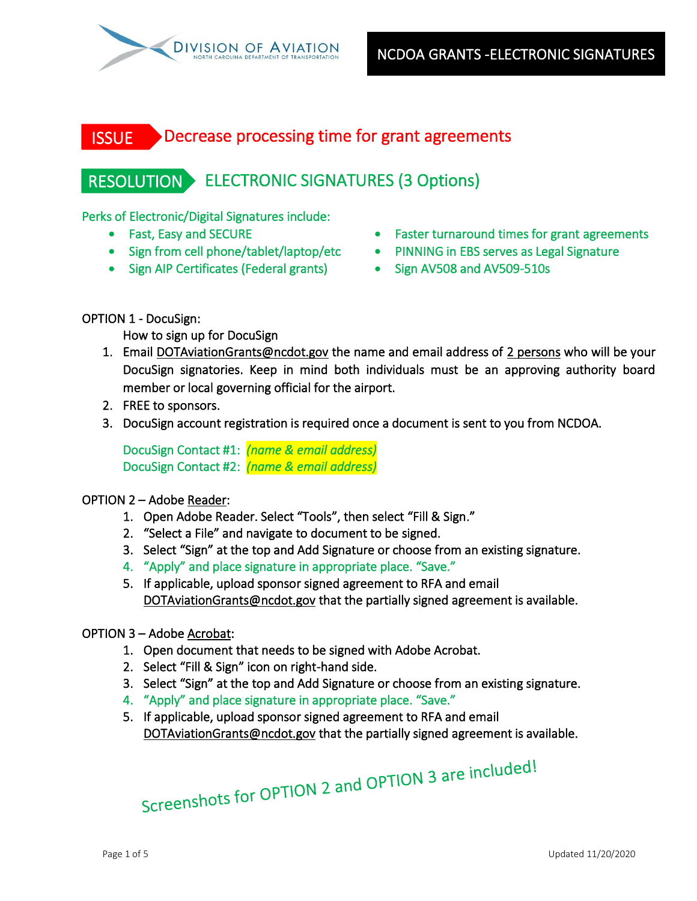

#### Decrease processing time for grant agreements **ISSUE**

# RESOLUTION ELECTRONIC SIGNATURES (3 Options)

Perks of Electronic/Digital Signatures include:

- 
- 
- Sign AIP Certificates (Federal grants) Sign AV508 and AV509-510s
- Fast, Easy and SECURE Faster turnaround times for grant agreements
- Sign from cell phone/tablet/laptop/etc PINNING in EBS serves as Legal Signature
	-

OPTION 1 - DocuSign:

How to sign up for DocuSign

- 1. Email [DOTAviationGrants@ncdot.gov](mailto:DOTAviationGrants@ncdot.gov) the name and email address of 2 persons who will be your DocuSign signatories. Keep in mind both individuals must be an approving authority board member or local governing official for the airport.
- 2. FREE to sponsors.
- 3. DocuSign account registration is required once a document is sent to you from NCDOA.

DocuSign Contact #1: *(name & email address)* DocuSign Contact #2: *(name & email address)* 

### OPTION 2 – Adobe Reader:

- 1. Open Adobe Reader. Select "Tools", then select "Fill & Sign."
- 2. "Select a File" and navigate to document to be signed.
- 3. Select "Sign" at the top and Add Signature or choose from an existing signature.
- 4. "Apply" and place signature in appropriate place. "Save."
- 5. If applicable, upload sponsor signed agreement to RFA and email [DOTAviationGrants@ncdot.gov](mailto:DOTAviationGrants@ncdot.gov) that the partially signed agreement is available.

### OPTION 3 – Adobe Acrobat:

- 1. Open document that needs to be signed with Adobe Acrobat.
- 2. Select "Fill & Sign" icon on right-hand side.
- 3. Select "Sign" at the top and Add Signature or choose from an existing signature.
- 4. "Apply" and place signature in appropriate place. "Save."
- 5. If applicable, upload sponsor signed agreement to RFA and email [DOTAviationGrants@ncdot.gov](mailto:DOTAviationGrants@ncdot.gov) that the partially signed agreement is available.

Screenshots for OPTION 2 and OPTION 3 are included!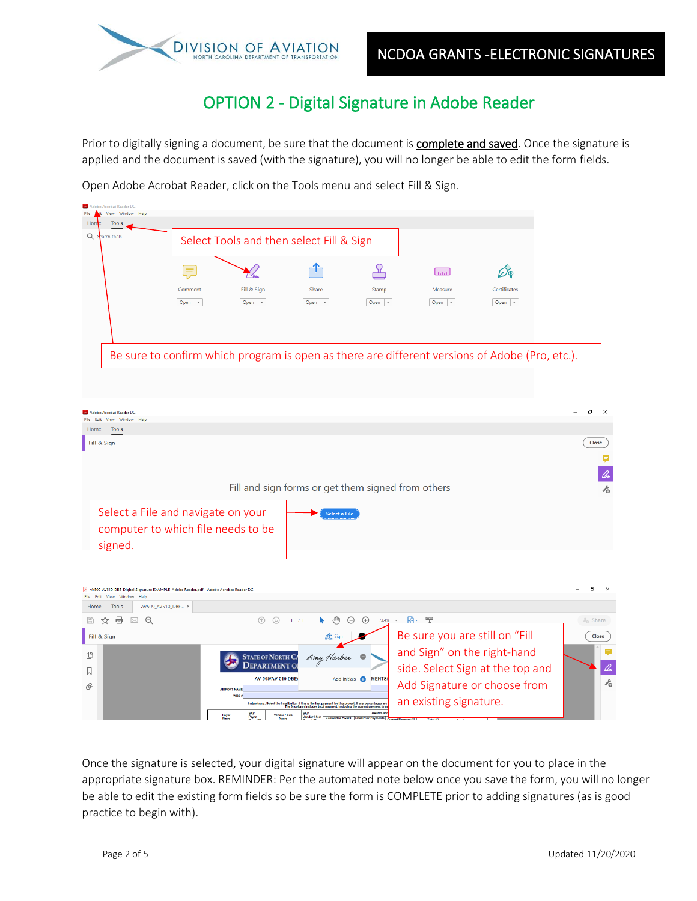

### OPTION 2 - Digital Signature in Adobe Reader

Prior to digitally signing a document, be sure that the document is **complete and saved**. Once the signature is applied and the document is saved (with the signature), you will no longer be able to edit the form fields.

Open Adobe Acrobat Reader, click on the Tools menu and select Fill & Sign.

| Adobe Acrobat Reader DC<br>lit View Window Help<br>File                              |                                    |                                                 |                                                                                                                                                                                 |                                       |                                |                                                                                                |                      |
|--------------------------------------------------------------------------------------|------------------------------------|-------------------------------------------------|---------------------------------------------------------------------------------------------------------------------------------------------------------------------------------|---------------------------------------|--------------------------------|------------------------------------------------------------------------------------------------|----------------------|
| Hon<br><b>Tools</b>                                                                  |                                    |                                                 |                                                                                                                                                                                 |                                       |                                |                                                                                                |                      |
| Q<br>arch tools                                                                      |                                    | Select Tools and then select Fill & Sign        |                                                                                                                                                                                 |                                       |                                |                                                                                                |                      |
|                                                                                      | $=$                                |                                                 |                                                                                                                                                                                 |                                       | لسسا                           |                                                                                                |                      |
|                                                                                      | Comment                            | Fill & Sign                                     | Share                                                                                                                                                                           | Stamp                                 | Measure                        | Certificates                                                                                   |                      |
|                                                                                      | Open $\vert \cdot \vert$           | Open $\vert \cdot \vert$                        | Open $\vert \cdot \vert$                                                                                                                                                        | Open v                                | Open $\vert \mathbf{v} \vert$  | Open $\vert \cdot \vert$                                                                       |                      |
|                                                                                      |                                    |                                                 |                                                                                                                                                                                 |                                       |                                |                                                                                                |                      |
|                                                                                      |                                    |                                                 |                                                                                                                                                                                 |                                       |                                |                                                                                                |                      |
|                                                                                      |                                    |                                                 |                                                                                                                                                                                 |                                       |                                | Be sure to confirm which program is open as there are different versions of Adobe (Pro, etc.). |                      |
|                                                                                      |                                    |                                                 |                                                                                                                                                                                 |                                       |                                |                                                                                                |                      |
|                                                                                      |                                    |                                                 |                                                                                                                                                                                 |                                       |                                |                                                                                                |                      |
|                                                                                      |                                    |                                                 |                                                                                                                                                                                 |                                       |                                |                                                                                                |                      |
| Adobe Acrobat Reader DC<br>File Edit View Window Help                                |                                    |                                                 |                                                                                                                                                                                 |                                       |                                |                                                                                                | 印                    |
| Tools<br>Home                                                                        |                                    |                                                 |                                                                                                                                                                                 |                                       |                                |                                                                                                |                      |
| Fill & Sign                                                                          |                                    |                                                 |                                                                                                                                                                                 |                                       |                                |                                                                                                | Close                |
|                                                                                      |                                    |                                                 |                                                                                                                                                                                 |                                       |                                |                                                                                                |                      |
|                                                                                      |                                    |                                                 |                                                                                                                                                                                 |                                       |                                |                                                                                                |                      |
|                                                                                      |                                    |                                                 | Fill and sign forms or get them signed from others                                                                                                                              |                                       |                                |                                                                                                | ŕ6                   |
|                                                                                      | Select a File and navigate on your |                                                 | <b>Select a File</b>                                                                                                                                                            |                                       |                                |                                                                                                |                      |
|                                                                                      | computer to which file needs to be |                                                 |                                                                                                                                                                                 |                                       |                                |                                                                                                |                      |
|                                                                                      |                                    |                                                 |                                                                                                                                                                                 |                                       |                                |                                                                                                |                      |
| signed.                                                                              |                                    |                                                 |                                                                                                                                                                                 |                                       |                                |                                                                                                |                      |
|                                                                                      |                                    |                                                 |                                                                                                                                                                                 |                                       |                                |                                                                                                |                      |
| AV509_AV510_DBE_Digital Signature EXAMPLE_Adobe Reader.pdf - Adobe Acrobat Reader DC |                                    |                                                 |                                                                                                                                                                                 |                                       |                                |                                                                                                | σ                    |
| File Edit View Window Help<br>Home<br><b>Tools</b>                                   | AV509_AV510_DBE ×                  |                                                 |                                                                                                                                                                                 |                                       |                                |                                                                                                |                      |
| $\boxtimes$ Q<br>€.<br>H<br>☆                                                        |                                    | $\circledcirc$                                  | 1 / 1<br>R.<br>∕™                                                                                                                                                               | $\ominus$<br>$\bigoplus$              | 73.4% ▼ 國▼ 聖                   |                                                                                                | $\mathbb{Z}_0$ Share |
| Fill & Sign                                                                          |                                    |                                                 |                                                                                                                                                                                 |                                       | Be sure you are still on "Fill |                                                                                                | Close                |
|                                                                                      |                                    |                                                 |                                                                                                                                                                                 |                                       | and Sign" on the right-hand    |                                                                                                |                      |
| மு                                                                                   |                                    | <b>STATE OF NORTH CA</b><br><b>DEPARTMENT O</b> | Amy Harber O                                                                                                                                                                    |                                       |                                | side. Select Sign at the top and                                                               | loo                  |
|                                                                                      |                                    | AV-509/AV-510 DBE                               |                                                                                                                                                                                 | <b>MENTS</b><br>Add Initials <b>C</b> |                                |                                                                                                | $\lambda_{\rm O}$    |
|                                                                                      |                                    | <b>AIRPORT NAME</b>                             |                                                                                                                                                                                 |                                       | Add Signature or choose from   |                                                                                                |                      |
|                                                                                      |                                    |                                                 | ot the Final button if this is the last payment for this project. If any percentages are<br>The % column includes total payment, including the current payment to<br><b>SAP</b> | Awards an                             | an existing signature.         |                                                                                                |                      |
|                                                                                      |                                    | SAP<br>Payor                                    | Vendor / Sub<br>Vendor / Sub                                                                                                                                                    |                                       |                                |                                                                                                |                      |

Once the signature is selected, your digital signature will appear on the document for you to place in the appropriate signature box. REMINDER: Per the automated note below once you save the form, you will no longer be able to edit the existing form fields so be sure the form is COMPLETE prior to adding signatures (as is good practice to begin with).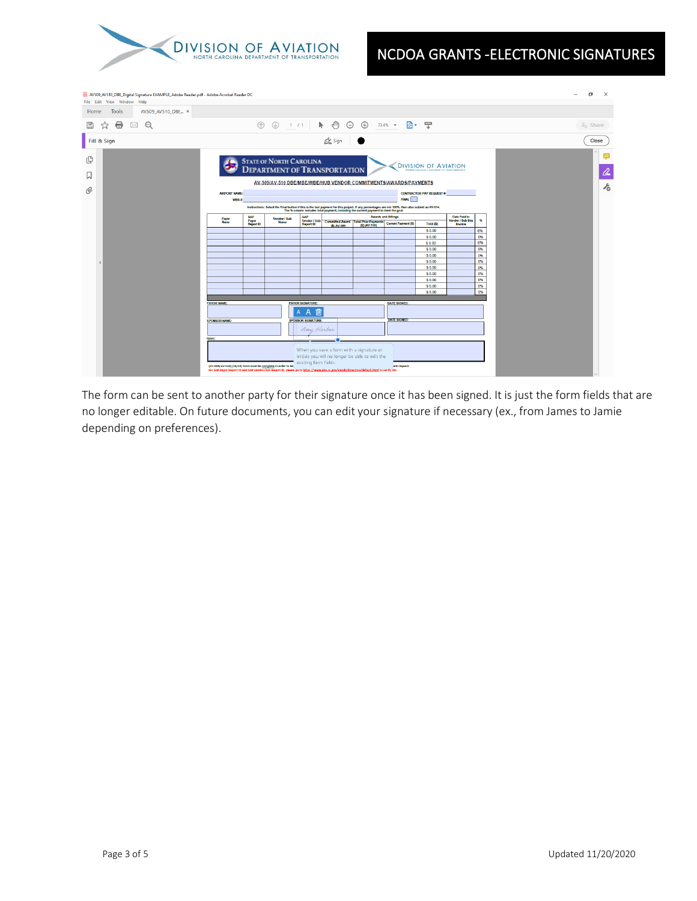

| AV509_AV510_DBE_Digital Signature EXAMPLE_Adobe Reader.pdf - Adobe Acrobat Reader DC<br>File Edit View Window Help                                             |                                                                                                                                                                                                       |                           |                                                                                                                                                                                                                                   |                           |                           |                                                                                             |                                                                      |                                          |         |          |  | $\times$<br>σ         |
|----------------------------------------------------------------------------------------------------------------------------------------------------------------|-------------------------------------------------------------------------------------------------------------------------------------------------------------------------------------------------------|---------------------------|-----------------------------------------------------------------------------------------------------------------------------------------------------------------------------------------------------------------------------------|---------------------------|---------------------------|---------------------------------------------------------------------------------------------|----------------------------------------------------------------------|------------------------------------------|---------|----------|--|-----------------------|
| AV509_AV510_DBE ×<br>Tools<br>Home                                                                                                                             |                                                                                                                                                                                                       |                           |                                                                                                                                                                                                                                   |                           |                           |                                                                                             |                                                                      |                                          |         |          |  |                       |
| ⊜<br>$^{\circ}$<br>B<br>⊠<br>☆                                                                                                                                 |                                                                                                                                                                                                       | $\circledcirc$            | $\circledcirc$                                                                                                                                                                                                                    | 1 / 1                     | $\bullet$ $\circ$ $\circ$ |                                                                                             | $73.4\%$ $\star$                                                     | 刷+ 罒                                     |         |          |  | $\mathcal{Z}_0$ Share |
| Fill & Sign                                                                                                                                                    |                                                                                                                                                                                                       |                           |                                                                                                                                                                                                                                   |                           | <b>Com</b> Sign           |                                                                                             |                                                                      |                                          |         |          |  | Close                 |
| மு<br><b>STATE OF NORTH CAROLINA</b><br><b>DIVISION OF AVIATION</b><br><b>DEPARTMENT OF TRANSPORTATION</b><br>NORTH CATOLINA GERATINENT OF TRANSPORTATION<br>П |                                                                                                                                                                                                       |                           |                                                                                                                                                                                                                                   |                           |                           |                                                                                             |                                                                      |                                          |         |          |  | ş<br>lho              |
| O                                                                                                                                                              |                                                                                                                                                                                                       |                           | AV-509/AV-510 DBE/MBE/WBE/HUB VENDOR COMMITMENTS/AWARDS/PAYMENTS                                                                                                                                                                  |                           |                           |                                                                                             |                                                                      |                                          |         |          |  | $\lambda_{\rm O}$     |
|                                                                                                                                                                | <b>AIRPORT NAME:</b><br>WBS #                                                                                                                                                                         |                           |                                                                                                                                                                                                                                   |                           |                           |                                                                                             | <b>FINAL</b>                                                         | <b>CONTRACTOR PAY REQUEST #:</b>         |         |          |  |                       |
|                                                                                                                                                                |                                                                                                                                                                                                       |                           | Instructions: Select the Final button if this is the last payment for this project. If any percentages are not 100%, then also submit an AV-514.<br>The % column includes total payment, including the current payment to meet th |                           |                           |                                                                                             |                                                                      |                                          |         |          |  |                       |
|                                                                                                                                                                | Payor<br>Name                                                                                                                                                                                         | <b>SAP</b>                |                                                                                                                                                                                                                                   | SAP<br>Vendor / Sub       |                           | <b>Awards and Billings</b>                                                                  |                                                                      | <b>Date Paid to</b><br>Vendor / Sub this | 96      |          |  |                       |
|                                                                                                                                                                |                                                                                                                                                                                                       | Payor<br><b>Report ID</b> | <b>Name</b>                                                                                                                                                                                                                       |                           |                           |                                                                                             | Vendor / Sub<br>Report ID (\$) AV-509 (\$) (AV-510)<br>(\$) (AV-510) | Total (\$)                               | Invoice |          |  |                       |
|                                                                                                                                                                |                                                                                                                                                                                                       |                           |                                                                                                                                                                                                                                   |                           |                           |                                                                                             |                                                                      | \$0.00<br>\$0.00                         |         | 0%<br>0% |  |                       |
|                                                                                                                                                                |                                                                                                                                                                                                       |                           |                                                                                                                                                                                                                                   |                           |                           |                                                                                             |                                                                      | \$0.00                                   |         | 0%       |  |                       |
|                                                                                                                                                                |                                                                                                                                                                                                       |                           |                                                                                                                                                                                                                                   |                           |                           |                                                                                             |                                                                      | \$0.00                                   |         | 0%       |  |                       |
|                                                                                                                                                                |                                                                                                                                                                                                       |                           |                                                                                                                                                                                                                                   |                           |                           |                                                                                             |                                                                      | \$0.00<br>\$0.00                         |         | 0%<br>0% |  |                       |
|                                                                                                                                                                |                                                                                                                                                                                                       |                           |                                                                                                                                                                                                                                   |                           |                           |                                                                                             |                                                                      | \$0.00                                   |         | 0%       |  |                       |
|                                                                                                                                                                |                                                                                                                                                                                                       |                           |                                                                                                                                                                                                                                   |                           |                           |                                                                                             |                                                                      | \$0.00                                   |         | 0%       |  |                       |
|                                                                                                                                                                |                                                                                                                                                                                                       |                           |                                                                                                                                                                                                                                   |                           |                           |                                                                                             |                                                                      | \$0.00                                   |         | 0%       |  |                       |
|                                                                                                                                                                |                                                                                                                                                                                                       |                           |                                                                                                                                                                                                                                   |                           |                           |                                                                                             |                                                                      | \$0.00<br>\$0.00                         |         | 0%<br>0% |  |                       |
|                                                                                                                                                                |                                                                                                                                                                                                       |                           |                                                                                                                                                                                                                                   |                           |                           |                                                                                             |                                                                      |                                          |         |          |  |                       |
|                                                                                                                                                                | <b>PAYOR NAME:</b>                                                                                                                                                                                    |                           |                                                                                                                                                                                                                                   | <b>PAYOR SIGNATURE:</b>   |                           |                                                                                             | <b>DATE SIGNED:</b>                                                  |                                          |         |          |  |                       |
|                                                                                                                                                                | 勔<br>$\mathsf{A}$<br>$\mathsf{A}$                                                                                                                                                                     |                           |                                                                                                                                                                                                                                   |                           |                           |                                                                                             |                                                                      |                                          |         |          |  |                       |
| <b>SPONSOR NAME:</b>                                                                                                                                           |                                                                                                                                                                                                       |                           |                                                                                                                                                                                                                                   | <b>SPONSOR SIGNATURE:</b> |                           |                                                                                             |                                                                      |                                          |         |          |  |                       |
|                                                                                                                                                                |                                                                                                                                                                                                       |                           | Amy Harber                                                                                                                                                                                                                        |                           |                           |                                                                                             |                                                                      |                                          |         |          |  |                       |
|                                                                                                                                                                | Notes:                                                                                                                                                                                                |                           |                                                                                                                                                                                                                                   |                           |                           |                                                                                             |                                                                      |                                          |         |          |  |                       |
|                                                                                                                                                                | (AV-509/AV-510) (10/19) form must be complete in order to be<br>For SAP Payor Report ID and SAP Vendor/Sub Report ID, please go to https://www.ebs.nc.gov/VendorDirectory/default.html to verify IDs. |                           |                                                                                                                                                                                                                                   | existing form fields.     |                           | When you save a form with a signature or<br>initials you will no longer be able to edit the | ent request.                                                         |                                          |         |          |  |                       |
|                                                                                                                                                                |                                                                                                                                                                                                       |                           |                                                                                                                                                                                                                                   |                           |                           |                                                                                             |                                                                      |                                          |         |          |  |                       |

The form can be sent to another party for their signature once it has been signed. It is just the form fields that are no longer editable. On future documents, you can edit your signature if necessary (ex., from James to Jamie depending on preferences).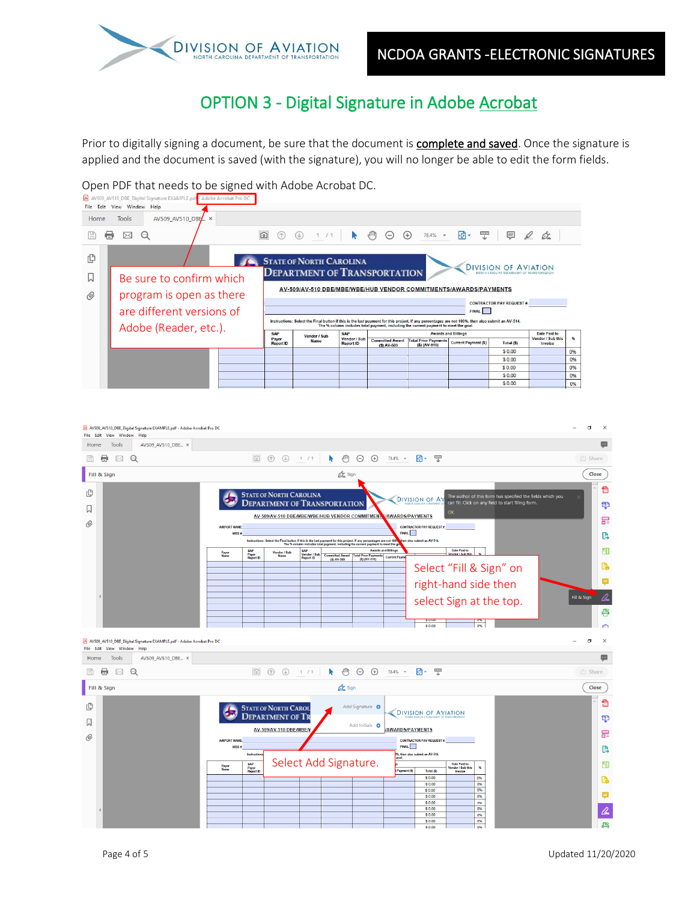

## OPTION 3 - Digital Signature in Adobe Acrobat

Prior to digitally signing a document, be sure that the document is **complete and saved**. Once the signature is applied and the document is saved (with the signature), you will no longer be able to edit the form fields.

Open PDF that needs to be signed with Adobe Acrobat DC.<br>**B** AV509\_AV510\_DBE\_Digital Signature EXAMPLE,pd<mark>F-Adobe Acrobat Pro DC</mark>